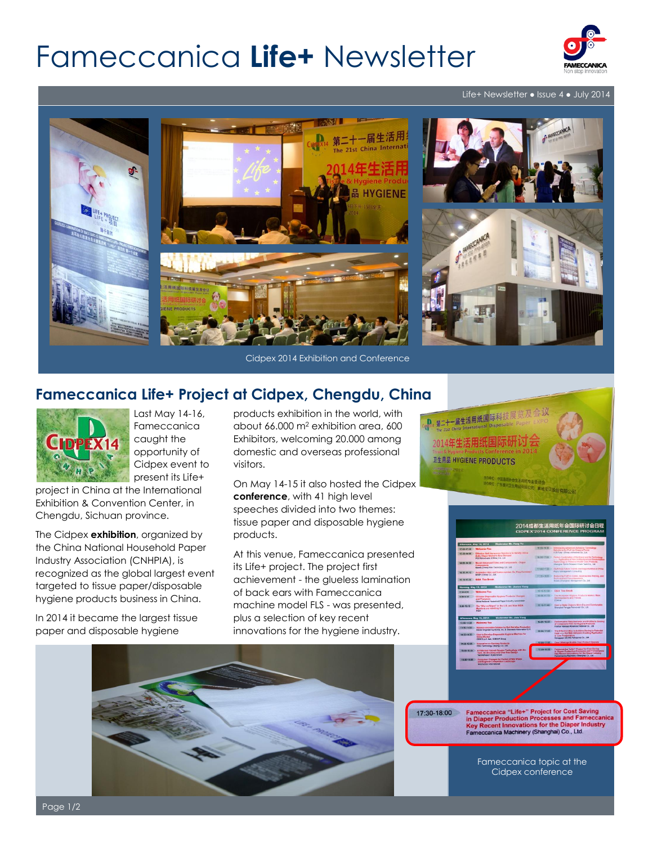# Fameccanica **Life+** Newsletter



#### Life+ Newsletter ● Issue 4 ● July 2014



Cidpex 2014 Exhibition and Conference

## A. 第二十一届生活用纸国际科技局 2014年生活用纸国协 **卫生用品 HYGIENE PRODUCTS**

### **Fameccanica Life+ Project at Cidpex, Chengdu, China**



Last May 14-16, Fameccanica caught the opportunity of Cidpex event to present its Life+

project in China at the International Exhibition & Convention Center, in Chengdu, Sichuan province.

The Cidpex **exhibition**, organized by the China National Household Paper Industry Association (CNHPIA), is recognized as the global largest event targeted to tissue paper/disposable hygiene products business in China.

In 2014 it became the largest tissue paper and disposable hygiene

products exhibition in the world, with about 66.000 m<sup>2</sup> exhibition area, 600 Exhibitors, welcoming 20.000 among domestic and overseas professional visitors.

On May 14-15 it also hosted the Cidpex **conference**, with 41 high level speeches divided into two themes: tissue paper and disposable hygiene products.

At this venue, Fameccanica presented its Life+ project. The project first achievement - the glueless lamination of back ears with Fameccanica machine model FLS - was presented, plus a selection of key recent innovations for the hygiene industry.





17:30-18:00

Fameccanica "Life+" Project for Cost Saving<br>in Diaper Production Processes and Fameccan<br>Key Recent Innovations for the Diaper Industry<br>Fameccanica Machinery (Shanghai) Co., Ltd.

Fameccanica topic at the Cidpex conference